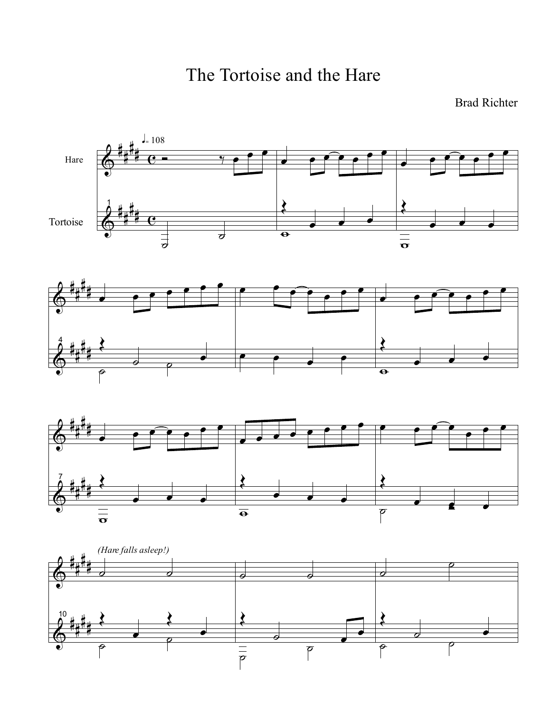The Tortoise and the Hare

## Brad Richter